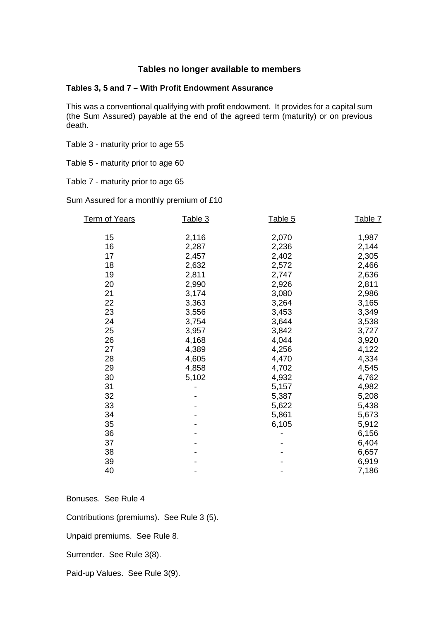# **Tables no longer available to members**

#### **Tables 3, 5 and 7 – With Profit Endowment Assurance**

This was a conventional qualifying with profit endowment. It provides for a capital sum (the Sum Assured) payable at the end of the agreed term (maturity) or on previous death.

Table 3 - maturity prior to age 55

Table 5 - maturity prior to age 60

Table 7 - maturity prior to age 65

Sum Assured for a monthly premium of £10

| 15<br>2,116<br>2,070<br>1,987<br>16<br>2,287<br>2,236<br>2,144<br>17<br>2,402<br>2,305<br>2,457<br>18<br>2,632<br>2,572<br>2,466<br>2,811<br>19<br>2,747<br>2,636<br>20<br>2,990<br>2,926<br>2,811<br>21<br>3,174<br>3,080<br>2,986<br>22<br>3,363<br>3,264<br>3,165 | Table 7 |
|----------------------------------------------------------------------------------------------------------------------------------------------------------------------------------------------------------------------------------------------------------------------|---------|
|                                                                                                                                                                                                                                                                      |         |
|                                                                                                                                                                                                                                                                      |         |
|                                                                                                                                                                                                                                                                      |         |
|                                                                                                                                                                                                                                                                      |         |
|                                                                                                                                                                                                                                                                      |         |
|                                                                                                                                                                                                                                                                      |         |
|                                                                                                                                                                                                                                                                      |         |
|                                                                                                                                                                                                                                                                      |         |
|                                                                                                                                                                                                                                                                      |         |
| 23<br>3,453<br>3,349<br>3,556                                                                                                                                                                                                                                        |         |
| 24<br>3,754<br>3,644<br>3,538                                                                                                                                                                                                                                        |         |
| 3,957<br>3,842<br>25<br>3,727                                                                                                                                                                                                                                        |         |
| 26<br>4,044<br>4,168<br>3,920                                                                                                                                                                                                                                        |         |
| 27<br>4,389<br>4,256<br>4,122                                                                                                                                                                                                                                        |         |
| 28<br>4,470<br>4,334<br>4,605                                                                                                                                                                                                                                        |         |
| 29<br>4,858<br>4,702<br>4,545                                                                                                                                                                                                                                        |         |
| 30<br>4,932<br>5,102<br>4,762                                                                                                                                                                                                                                        |         |
| 4,982<br>31<br>5,157                                                                                                                                                                                                                                                 |         |
| 32<br>5,208<br>5,387                                                                                                                                                                                                                                                 |         |
| 33<br>5,438<br>5,622                                                                                                                                                                                                                                                 |         |
| 34<br>5,861<br>5,673                                                                                                                                                                                                                                                 |         |
| 35<br>5,912<br>6,105                                                                                                                                                                                                                                                 |         |
| 36<br>6,156                                                                                                                                                                                                                                                          |         |
| 37<br>6,404                                                                                                                                                                                                                                                          |         |
| 38<br>6,657                                                                                                                                                                                                                                                          |         |
| 39<br>6,919                                                                                                                                                                                                                                                          |         |
| 40<br>7,186                                                                                                                                                                                                                                                          |         |

Bonuses. See Rule 4

Contributions (premiums). See Rule 3 (5).

Unpaid premiums. See Rule 8.

Surrender. See Rule 3(8).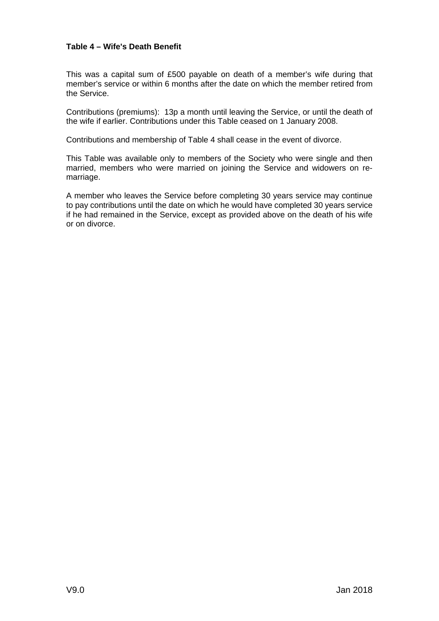### **Table 4 – Wife's Death Benefit**

This was a capital sum of £500 payable on death of a member's wife during that member's service or within 6 months after the date on which the member retired from the Service.

Contributions (premiums): 13p a month until leaving the Service, or until the death of the wife if earlier. Contributions under this Table ceased on 1 January 2008.

Contributions and membership of Table 4 shall cease in the event of divorce.

This Table was available only to members of the Society who were single and then married, members who were married on joining the Service and widowers on remarriage.

A member who leaves the Service before completing 30 years service may continue to pay contributions until the date on which he would have completed 30 years service if he had remained in the Service, except as provided above on the death of his wife or on divorce.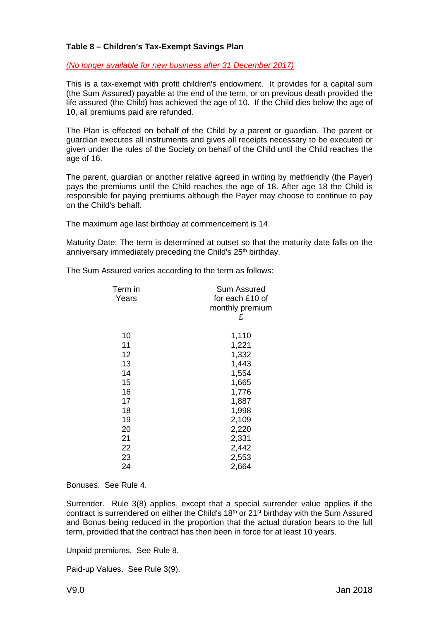#### **Table 8 – Children's Tax-Exempt Savings Plan**

#### *(No longer available for new business after 31 December 2017)*

This is a tax-exempt with profit children's endowment. It provides for a capital sum (the Sum Assured) payable at the end of the term, or on previous death provided the life assured (the Child) has achieved the age of 10. If the Child dies below the age of 10, all premiums paid are refunded.

The Plan is effected on behalf of the Child by a parent or guardian. The parent or guardian executes all instruments and gives all receipts necessary to be executed or given under the rules of the Society on behalf of the Child until the Child reaches the age of 16.

The parent, guardian or another relative agreed in writing by metfriendly (the Payer) pays the premiums until the Child reaches the age of 18. After age 18 the Child is responsible for paying premiums although the Payer may choose to continue to pay on the Child's behalf.

The maximum age last birthday at commencement is 14.

Maturity Date: The term is determined at outset so that the maturity date falls on the anniversary immediately preceding the Child's 25<sup>th</sup> birthday.

The Sum Assured varies according to the term as follows:

| Term in<br>Years | Sum Assured<br>for each £10 of<br>monthly premium<br>£ |
|------------------|--------------------------------------------------------|
| 10               | 1,110                                                  |
| 11               | 1,221                                                  |
| 12               | 1,332                                                  |
| 13               | 1,443                                                  |
| 14               | 1,554                                                  |
| 15               | 1,665                                                  |
| 16               | 1,776                                                  |
| 17               | 1,887                                                  |
| 18               | 1,998                                                  |
| 19               | 2,109                                                  |
| 20               | 2,220                                                  |
| 21               | 2,331                                                  |
| 22               | 2,442                                                  |
| 23               | 2,553                                                  |
| 24               | 2,664                                                  |
|                  |                                                        |

#### Bonuses. See Rule 4.

Surrender. Rule 3(8) applies, except that a special surrender value applies if the contract is surrendered on either the Child's 18th or 21st birthday with the Sum Assured and Bonus being reduced in the proportion that the actual duration bears to the full term, provided that the contract has then been in force for at least 10 years.

Unpaid premiums. See Rule 8.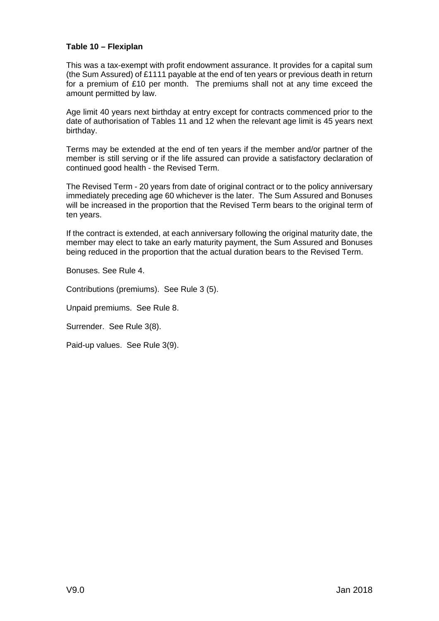### **Table 10 – Flexiplan**

This was a tax-exempt with profit endowment assurance. It provides for a capital sum (the Sum Assured) of £1111 payable at the end of ten years or previous death in return for a premium of £10 per month. The premiums shall not at any time exceed the amount permitted by law.

Age limit 40 years next birthday at entry except for contracts commenced prior to the date of authorisation of Tables 11 and 12 when the relevant age limit is 45 years next birthday.

Terms may be extended at the end of ten years if the member and/or partner of the member is still serving or if the life assured can provide a satisfactory declaration of continued good health - the Revised Term.

The Revised Term - 20 years from date of original contract or to the policy anniversary immediately preceding age 60 whichever is the later. The Sum Assured and Bonuses will be increased in the proportion that the Revised Term bears to the original term of ten years.

If the contract is extended, at each anniversary following the original maturity date, the member may elect to take an early maturity payment, the Sum Assured and Bonuses being reduced in the proportion that the actual duration bears to the Revised Term.

Bonuses. See Rule 4.

Contributions (premiums). See Rule 3 (5).

Unpaid premiums. See Rule 8.

Surrender. See Rule 3(8).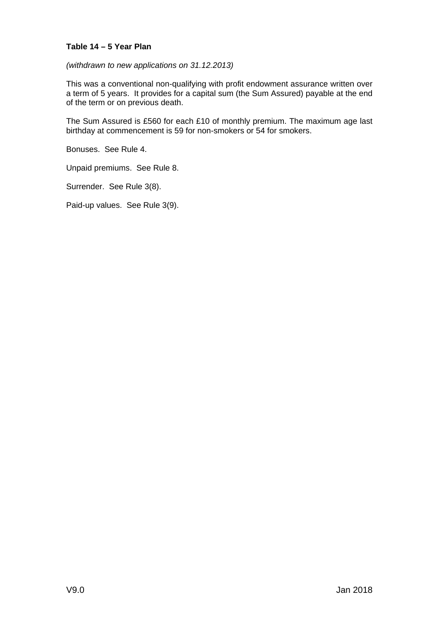### **Table 14 – 5 Year Plan**

*(withdrawn to new applications on 31.12.2013)*

This was a conventional non-qualifying with profit endowment assurance written over a term of 5 years. It provides for a capital sum (the Sum Assured) payable at the end of the term or on previous death.

The Sum Assured is £560 for each £10 of monthly premium. The maximum age last birthday at commencement is 59 for non-smokers or 54 for smokers.

Bonuses. See Rule 4.

Unpaid premiums. See Rule 8.

Surrender. See Rule 3(8).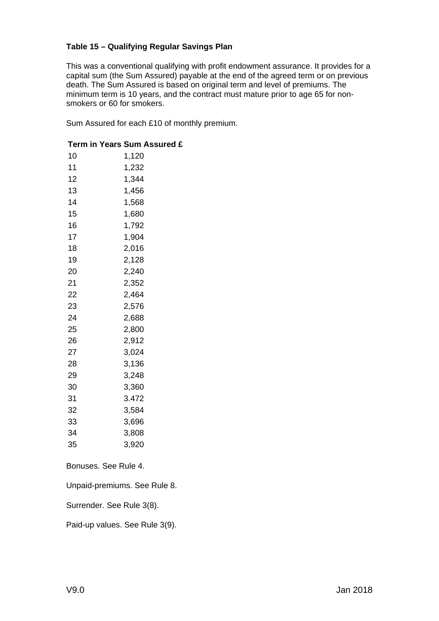# **Table 15 – Qualifying Regular Savings Plan**

This was a conventional qualifying with profit endowment assurance. It provides for a capital sum (the Sum Assured) payable at the end of the agreed term or on previous death. The Sum Assured is based on original term and level of premiums. The minimum term is 10 years, and the contract must mature prior to age 65 for nonsmokers or 60 for smokers.

Sum Assured for each £10 of monthly premium.

# **Term in Years Sum Assured £**

| 10 | 1,120 |
|----|-------|
| 11 | 1,232 |
| 12 | 1,344 |
| 13 | 1,456 |
| 14 | 1,568 |
| 15 | 1,680 |
| 16 | 1,792 |
| 17 | 1,904 |
| 18 | 2,016 |
| 19 | 2,128 |
| 20 | 2,240 |
| 21 | 2,352 |
| 22 | 2,464 |
| 23 | 2,576 |
| 24 | 2,688 |
| 25 | 2,800 |
| 26 | 2,912 |
| 27 | 3,024 |
| 28 | 3,136 |
| 29 | 3,248 |
| 30 | 3,360 |
| 31 | 3.472 |
| 32 | 3,584 |
| 33 | 3,696 |
| 34 | 3,808 |
| 35 | 3,920 |

Bonuses. See Rule 4.

Unpaid-premiums. See Rule 8.

Surrender. See Rule 3(8).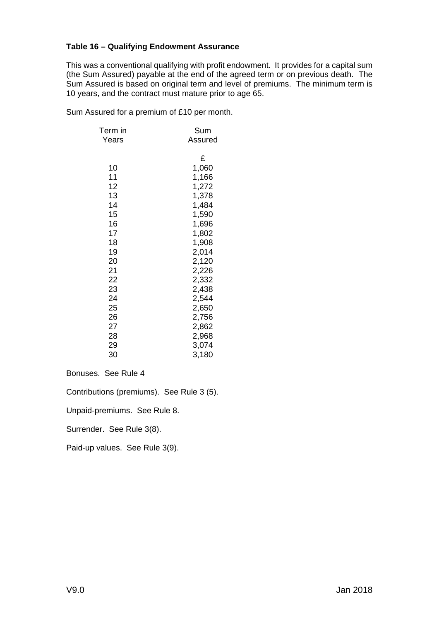### **Table 16 – Qualifying Endowment Assurance**

This was a conventional qualifying with profit endowment. It provides for a capital sum (the Sum Assured) payable at the end of the agreed term or on previous death. The Sum Assured is based on original term and level of premiums. The minimum term is 10 years, and the contract must mature prior to age 65.

Sum Assured for a premium of £10 per month.

| Term in | Sum     |
|---------|---------|
| Years   | Assured |
|         | £       |
| 10      | 1,060   |
| 11      | 1,166   |
| 12      | 1,272   |
| 13      | 1,378   |
| 14      | 1,484   |
| 15      | 1,590   |
| 16      | 1,696   |
| 17      | 1,802   |
| 18      | 1,908   |
| 19      | 2,014   |
| 20      | 2,120   |
| 21      | 2,226   |
| 22      | 2,332   |
| 23      | 2,438   |
| 24      | 2,544   |
| 25      | 2,650   |
| 26      | 2,756   |
| 27      | 2,862   |
| 28      | 2,968   |
| 29      | 3,074   |
| 30      | 3,180   |

Bonuses. See Rule 4

Contributions (premiums). See Rule 3 (5).

Unpaid-premiums. See Rule 8.

Surrender. See Rule 3(8).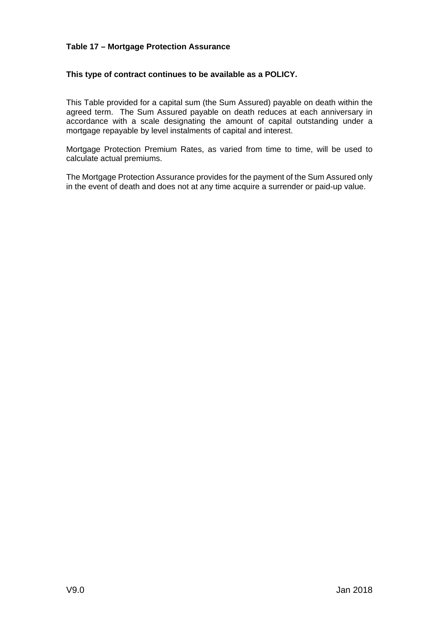### **Table 17 – Mortgage Protection Assurance**

### **This type of contract continues to be available as a POLICY.**

This Table provided for a capital sum (the Sum Assured) payable on death within the agreed term. The Sum Assured payable on death reduces at each anniversary in accordance with a scale designating the amount of capital outstanding under a mortgage repayable by level instalments of capital and interest.

Mortgage Protection Premium Rates, as varied from time to time, will be used to calculate actual premiums.

The Mortgage Protection Assurance provides for the payment of the Sum Assured only in the event of death and does not at any time acquire a surrender or paid-up value.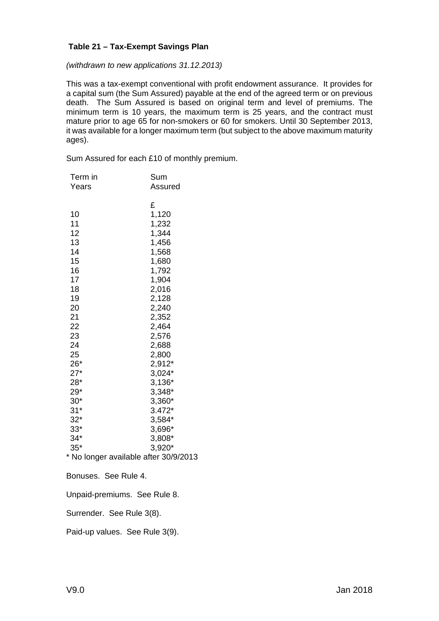#### **Table 21 – Tax-Exempt Savings Plan**

*(withdrawn to new applications 31.12.2013)*

This was a tax-exempt conventional with profit endowment assurance. It provides for a capital sum (the Sum Assured) payable at the end of the agreed term or on previous death. The Sum Assured is based on original term and level of premiums. The minimum term is 10 years, the maximum term is 25 years, and the contract must mature prior to age 65 for non-smokers or 60 for smokers. Until 30 September 2013, it was available for a longer maximum term (but subject to the above maximum maturity ages).

Sum Assured for each £10 of monthly premium.

| Term in                                                                                                                                                      | Sum                                                                                                                                                                                                                                       |
|--------------------------------------------------------------------------------------------------------------------------------------------------------------|-------------------------------------------------------------------------------------------------------------------------------------------------------------------------------------------------------------------------------------------|
| Years                                                                                                                                                        | Assured                                                                                                                                                                                                                                   |
| 10<br>11<br>12<br>13<br>14<br>15<br>16<br>17<br>18<br>19<br>20<br>21<br>22<br>23<br>24<br>25<br>26*<br>$27*$<br>28*<br>29*<br>$30*$<br>$31*$<br>$32*$<br>33* | £<br>1,120<br>1,232<br>1,344<br>1,456<br>1,568<br>1,680<br>1,792<br>1,904<br>2,016<br>2,128<br>2,240<br>2,352<br>2,464<br>2,576<br>2,688<br>2,800<br>2,912*<br>3,024*<br>$3,136*$<br>3,348*<br>3,360*<br>$3.472*$<br>$3,584*$<br>$3,696*$ |
|                                                                                                                                                              |                                                                                                                                                                                                                                           |
| $34*$                                                                                                                                                        | 3,808*                                                                                                                                                                                                                                    |
| $35*$<br>* No longer available after 30/9/2013                                                                                                               | $3,920*$                                                                                                                                                                                                                                  |
|                                                                                                                                                              |                                                                                                                                                                                                                                           |
| Bonuses. See Rule 4.                                                                                                                                         |                                                                                                                                                                                                                                           |
| Unpaid-premiums. See Rule 8.                                                                                                                                 |                                                                                                                                                                                                                                           |
| Surrender. See Rule 3(8).                                                                                                                                    |                                                                                                                                                                                                                                           |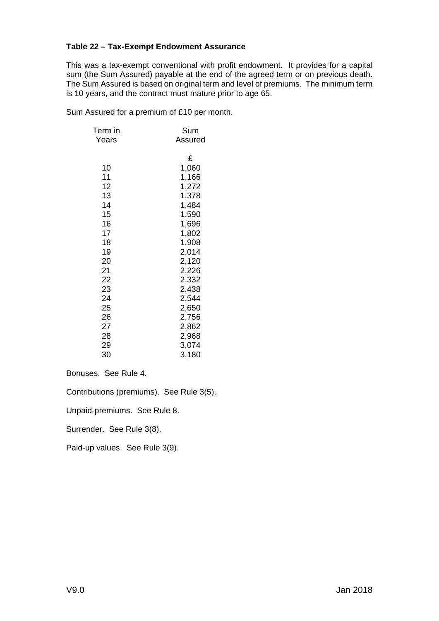### **Table 22 – Tax-Exempt Endowment Assurance**

This was a tax-exempt conventional with profit endowment. It provides for a capital sum (the Sum Assured) payable at the end of the agreed term or on previous death. The Sum Assured is based on original term and level of premiums. The minimum term is 10 years, and the contract must mature prior to age 65.

Sum Assured for a premium of £10 per month.

| Term in | Sum     |
|---------|---------|
| Years   | Assured |
|         | £       |
| 10      | 1,060   |
| 11      | 1,166   |
| 12      | 1,272   |
| 13      | 1,378   |
| 14      | 1,484   |
| 15      | 1,590   |
| 16      | 1,696   |
| 17      | 1,802   |
| 18      | 1,908   |
| 19      | 2,014   |
| 20      | 2,120   |
| 21      | 2,226   |
| 22      | 2,332   |
| 23      | 2,438   |
| 24      | 2,544   |
| 25      | 2,650   |
| 26      | 2,756   |
| 27      | 2,862   |
| 28      | 2,968   |
| 29      | 3,074   |
| 30      | 3,180   |

Bonuses. See Rule 4.

Contributions (premiums). See Rule 3(5).

Unpaid-premiums. See Rule 8.

Surrender. See Rule 3(8).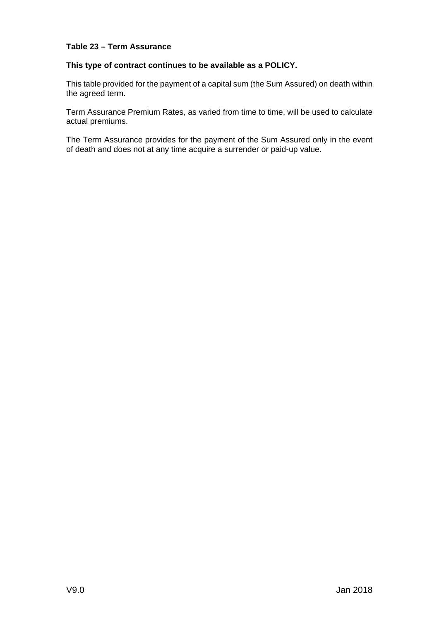# **Table 23 – Term Assurance**

#### **This type of contract continues to be available as a POLICY.**

This table provided for the payment of a capital sum (the Sum Assured) on death within the agreed term.

Term Assurance Premium Rates, as varied from time to time, will be used to calculate actual premiums.

The Term Assurance provides for the payment of the Sum Assured only in the event of death and does not at any time acquire a surrender or paid-up value.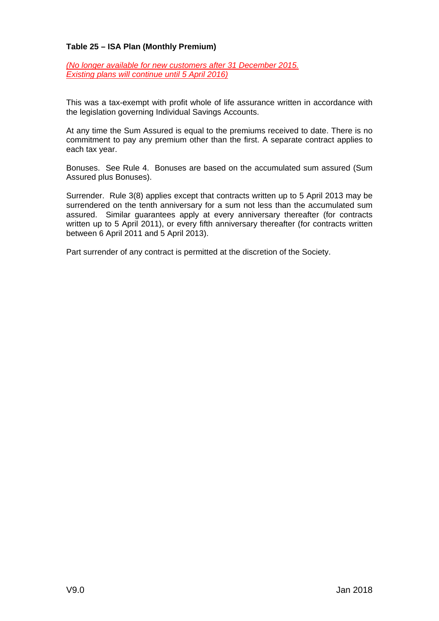### **Table 25 – ISA Plan (Monthly Premium)**

*(No longer available for new customers after 31 December 2015. Existing plans will continue until 5 April 2016)*

This was a tax-exempt with profit whole of life assurance written in accordance with the legislation governing Individual Savings Accounts.

At any time the Sum Assured is equal to the premiums received to date. There is no commitment to pay any premium other than the first. A separate contract applies to each tax year.

Bonuses. See Rule 4. Bonuses are based on the accumulated sum assured (Sum Assured plus Bonuses).

Surrender. Rule 3(8) applies except that contracts written up to 5 April 2013 may be surrendered on the tenth anniversary for a sum not less than the accumulated sum assured. Similar guarantees apply at every anniversary thereafter (for contracts written up to 5 April 2011), or every fifth anniversary thereafter (for contracts written between 6 April 2011 and 5 April 2013).

Part surrender of any contract is permitted at the discretion of the Society.